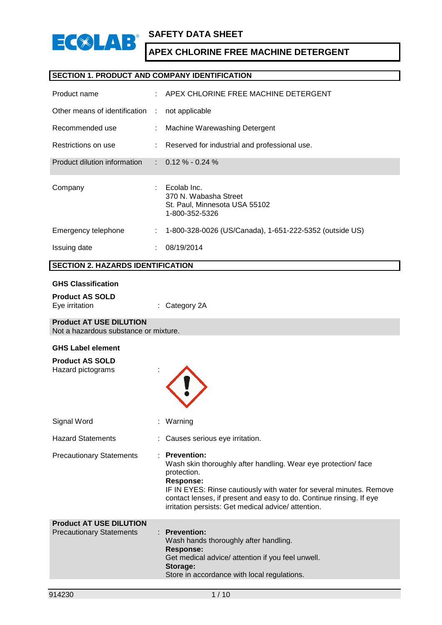

## **SECTION 1. PRODUCT AND COMPANY IDENTIFICATION**

| Product name                    |   | APEX CHLORINE FREE MACHINE DETERGENT                                                    |
|---------------------------------|---|-----------------------------------------------------------------------------------------|
| Other means of identification : |   | not applicable                                                                          |
| Recommended use                 |   | Machine Warewashing Detergent                                                           |
| Restrictions on use             |   | : Reserved for industrial and professional use.                                         |
| Product dilution information    |   | $\therefore$ 0.12 % - 0.24 %                                                            |
| Company                         |   | Ecolab Inc.<br>370 N. Wabasha Street<br>St. Paul, Minnesota USA 55102<br>1-800-352-5326 |
| Emergency telephone             | ÷ | 1-800-328-0026 (US/Canada), 1-651-222-5352 (outside US)                                 |
| Issuing date                    |   | 08/19/2014                                                                              |

## **SECTION 2. HAZARDS IDENTIFICATION**

#### **GHS Classification**

| <b>Product AS SOLD</b> |                          |
|------------------------|--------------------------|
| Eye irritation         | $\therefore$ Category 2A |

### **Product AT USE DILUTION**

Not a hazardous substance or mixture.

### **GHS Label element**

| : Warning                                                                                                                                                                                                                                                                                                                  |
|----------------------------------------------------------------------------------------------------------------------------------------------------------------------------------------------------------------------------------------------------------------------------------------------------------------------------|
| : Causes serious eye irritation.                                                                                                                                                                                                                                                                                           |
| <b>Prevention:</b><br>Wash skin thoroughly after handling. Wear eye protection/face<br>protection.<br><b>Response:</b><br>IF IN EYES: Rinse cautiously with water for several minutes. Remove<br>contact lenses, if present and easy to do. Continue rinsing. If eye<br>irritation persists: Get medical advice/attention. |
| <b>Prevention:</b><br>Wash hands thoroughly after handling.<br><b>Response:</b><br>Get medical advice/ attention if you feel unwell.<br>Storage:<br>Store in accordance with local regulations.                                                                                                                            |
|                                                                                                                                                                                                                                                                                                                            |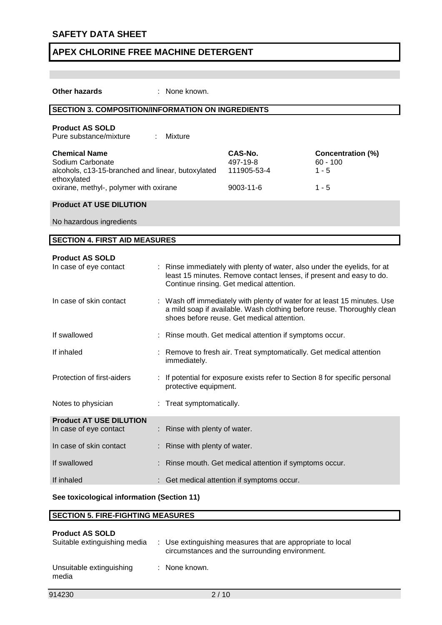| <b>Other hazards</b>                                                                                                                                   | : None known.               |                                                                                                                                                                                                  |                                                              |
|--------------------------------------------------------------------------------------------------------------------------------------------------------|-----------------------------|--------------------------------------------------------------------------------------------------------------------------------------------------------------------------------------------------|--------------------------------------------------------------|
| <b>SECTION 3. COMPOSITION/INFORMATION ON INGREDIENTS</b>                                                                                               |                             |                                                                                                                                                                                                  |                                                              |
| <b>Product AS SOLD</b><br>Pure substance/mixture                                                                                                       | Mixture                     |                                                                                                                                                                                                  |                                                              |
| <b>Chemical Name</b><br>Sodium Carbonate<br>alcohols, c13-15-branched and linear, butoxylated<br>ethoxylated<br>oxirane, methyl-, polymer with oxirane |                             | CAS-No.<br>497-19-8<br>111905-53-4<br>$9003 - 11 - 6$                                                                                                                                            | <b>Concentration (%)</b><br>$60 - 100$<br>$1 - 5$<br>$1 - 5$ |
| <b>Product AT USE DILUTION</b>                                                                                                                         |                             |                                                                                                                                                                                                  |                                                              |
| No hazardous ingredients                                                                                                                               |                             |                                                                                                                                                                                                  |                                                              |
| <b>SECTION 4. FIRST AID MEASURES</b>                                                                                                                   |                             |                                                                                                                                                                                                  |                                                              |
| <b>Product AS SOLD</b>                                                                                                                                 |                             |                                                                                                                                                                                                  |                                                              |
| In case of eye contact                                                                                                                                 |                             | : Rinse immediately with plenty of water, also under the eyelids, for at<br>least 15 minutes. Remove contact lenses, if present and easy to do.<br>Continue rinsing. Get medical attention.      |                                                              |
| In case of skin contact                                                                                                                                |                             | : Wash off immediately with plenty of water for at least 15 minutes. Use<br>a mild soap if available. Wash clothing before reuse. Thoroughly clean<br>shoes before reuse. Get medical attention. |                                                              |
| If swallowed                                                                                                                                           |                             | : Rinse mouth. Get medical attention if symptoms occur.                                                                                                                                          |                                                              |
| If inhaled                                                                                                                                             | immediately.                | : Remove to fresh air. Treat symptomatically. Get medical attention                                                                                                                              |                                                              |
| Protection of first-aiders                                                                                                                             | protective equipment.       | : If potential for exposure exists refer to Section 8 for specific personal                                                                                                                      |                                                              |
| Notes to physician                                                                                                                                     | : Treat symptomatically.    |                                                                                                                                                                                                  |                                                              |
| <b>Product AT USE DILUTION</b><br>In case of eye contact                                                                                               | Rinse with plenty of water. |                                                                                                                                                                                                  |                                                              |
| In case of skin contact                                                                                                                                | Rinse with plenty of water. |                                                                                                                                                                                                  |                                                              |
| If swallowed                                                                                                                                           |                             | Rinse mouth. Get medical attention if symptoms occur.                                                                                                                                            |                                                              |
| If inhaled                                                                                                                                             |                             | Get medical attention if symptoms occur.                                                                                                                                                         |                                                              |
| See toxicological information (Section 11)                                                                                                             |                             |                                                                                                                                                                                                  |                                                              |

## **SECTION 5. FIRE-FIGHTING MEASURES**

| <b>Product AS SOLD</b><br>Suitable extinguishing media | : Use extinguishing measures that are appropriate to local<br>circumstances and the surrounding environment. |
|--------------------------------------------------------|--------------------------------------------------------------------------------------------------------------|
| Unsuitable extinguishing<br>media                      | : None known.                                                                                                |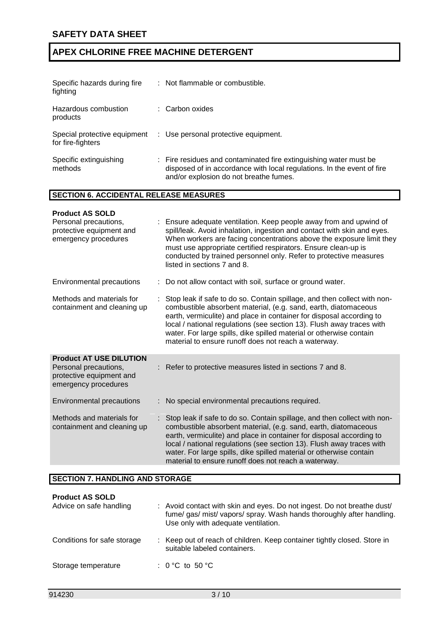| Specific hazards during fire<br>fighting      | : Not flammable or combustible.                                                                                                                                                       |
|-----------------------------------------------|---------------------------------------------------------------------------------------------------------------------------------------------------------------------------------------|
| Hazardous combustion<br>products              | : Carbon oxides                                                                                                                                                                       |
| for fire-fighters                             | Special protective equipment : Use personal protective equipment.                                                                                                                     |
| Specific extinguishing<br>methods             | : Fire residues and contaminated fire extinguishing water must be<br>disposed of in accordance with local regulations. In the event of fire<br>and/or explosion do not breathe fumes. |
| <b>SECTION 6. ACCIDENTAL RELEASE MEASURES</b> |                                                                                                                                                                                       |

| <b>Product AS SOLD</b>                                                                                      |                                                                                                                                                                                                                                                                                                                                                                                                                             |
|-------------------------------------------------------------------------------------------------------------|-----------------------------------------------------------------------------------------------------------------------------------------------------------------------------------------------------------------------------------------------------------------------------------------------------------------------------------------------------------------------------------------------------------------------------|
| Personal precautions,<br>protective equipment and<br>emergency procedures                                   | Ensure adequate ventilation. Keep people away from and upwind of<br>spill/leak. Avoid inhalation, ingestion and contact with skin and eyes.<br>When workers are facing concentrations above the exposure limit they<br>must use appropriate certified respirators. Ensure clean-up is<br>conducted by trained personnel only. Refer to protective measures<br>listed in sections 7 and 8.                                   |
| Environmental precautions                                                                                   | : Do not allow contact with soil, surface or ground water.                                                                                                                                                                                                                                                                                                                                                                  |
| Methods and materials for<br>containment and cleaning up                                                    | Stop leak if safe to do so. Contain spillage, and then collect with non-<br>combustible absorbent material, (e.g. sand, earth, diatomaceous<br>earth, vermiculite) and place in container for disposal according to<br>local / national regulations (see section 13). Flush away traces with<br>water. For large spills, dike spilled material or otherwise contain<br>material to ensure runoff does not reach a waterway. |
| <b>Product AT USE DILUTION</b><br>Personal precautions,<br>protective equipment and<br>emergency procedures | Refer to protective measures listed in sections 7 and 8.                                                                                                                                                                                                                                                                                                                                                                    |
| Environmental precautions                                                                                   | No special environmental precautions required.                                                                                                                                                                                                                                                                                                                                                                              |
| Methods and materials for<br>containment and cleaning up                                                    | Stop leak if safe to do so. Contain spillage, and then collect with non-<br>combustible absorbent material, (e.g. sand, earth, diatomaceous<br>earth, vermiculite) and place in container for disposal according to<br>local / national regulations (see section 13). Flush away traces with<br>water. For large spills, dike spilled material or otherwise contain<br>material to ensure runoff does not reach a waterway. |

## **SECTION 7. HANDLING AND STORAGE**

| <b>Product AS SOLD</b><br>Advice on safe handling | : Avoid contact with skin and eyes. Do not ingest. Do not breathe dust/<br>fume/gas/mist/vapors/spray. Wash hands thoroughly after handling.<br>Use only with adequate ventilation. |
|---------------------------------------------------|-------------------------------------------------------------------------------------------------------------------------------------------------------------------------------------|
| Conditions for safe storage                       | : Keep out of reach of children. Keep container tightly closed. Store in<br>suitable labeled containers.                                                                            |
| Storage temperature                               | : $0^{\circ}$ C to 50 $^{\circ}$ C                                                                                                                                                  |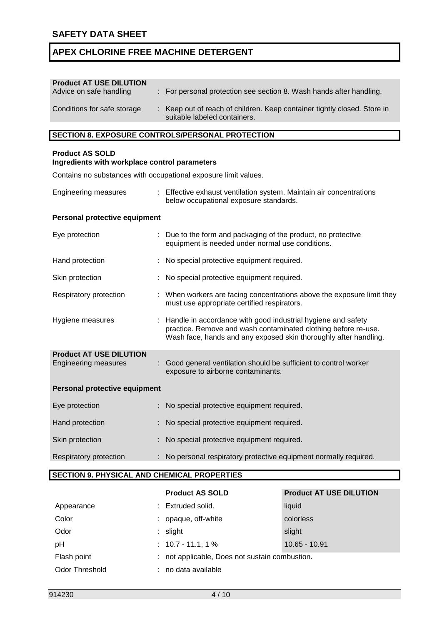| <b>Product AT USE DILUTION</b><br>Advice on safe handling | : For personal protection see section 8. Wash hands after handling.                                      |
|-----------------------------------------------------------|----------------------------------------------------------------------------------------------------------|
| Conditions for safe storage                               | : Keep out of reach of children. Keep container tightly closed. Store in<br>suitable labeled containers. |
|                                                           |                                                                                                          |

## **SECTION 8. EXPOSURE CONTROLS/PERSONAL PROTECTION**

## **Product AS SOLD**

### **Ingredients with workplace control parameters**

Contains no substances with occupational exposure limit values.

Engineering measures : Effective exhaust ventilation system. Maintain air concentrations below occupational exposure standards.

## **Personal protective equipment**

| Eye protection                                                |  | : Due to the form and packaging of the product, no protective<br>equipment is needed under normal use conditions.                                                                                    |  |
|---------------------------------------------------------------|--|------------------------------------------------------------------------------------------------------------------------------------------------------------------------------------------------------|--|
| Hand protection                                               |  | : No special protective equipment required.                                                                                                                                                          |  |
| Skin protection                                               |  | : No special protective equipment required.                                                                                                                                                          |  |
| Respiratory protection                                        |  | : When workers are facing concentrations above the exposure limit they<br>must use appropriate certified respirators.                                                                                |  |
| Hygiene measures                                              |  | : Handle in accordance with good industrial hygiene and safety<br>practice. Remove and wash contaminated clothing before re-use.<br>Wash face, hands and any exposed skin thoroughly after handling. |  |
| <b>Product AT USE DILUTION</b><br><b>Engineering measures</b> |  | Good general ventilation should be sufficient to control worker<br>exposure to airborne contaminants.                                                                                                |  |
| Personal protective equipment                                 |  |                                                                                                                                                                                                      |  |
| Eye protection                                                |  | : No special protective equipment required.                                                                                                                                                          |  |
| Hand protection                                               |  | No special protective equipment required.                                                                                                                                                            |  |
| Skin protection                                               |  | : No special protective equipment required.                                                                                                                                                          |  |
| Respiratory protection                                        |  | : No personal respiratory protective equipment normally required.                                                                                                                                    |  |

## **SECTION 9. PHYSICAL AND CHEMICAL PROPERTIES**

|                       | <b>Product AS SOLD</b>                         | <b>Product AT USE DILUTION</b> |
|-----------------------|------------------------------------------------|--------------------------------|
| Appearance            | : Extruded solid.                              | liquid                         |
| Color                 | : opaque, off-white                            | colorless                      |
| Odor                  | $:$ slight                                     | slight                         |
| pH                    | $: 10.7 - 11.1, 1\%$                           | $10.65 - 10.91$                |
| Flash point           | : not applicable, Does not sustain combustion. |                                |
| <b>Odor Threshold</b> | : no data available                            |                                |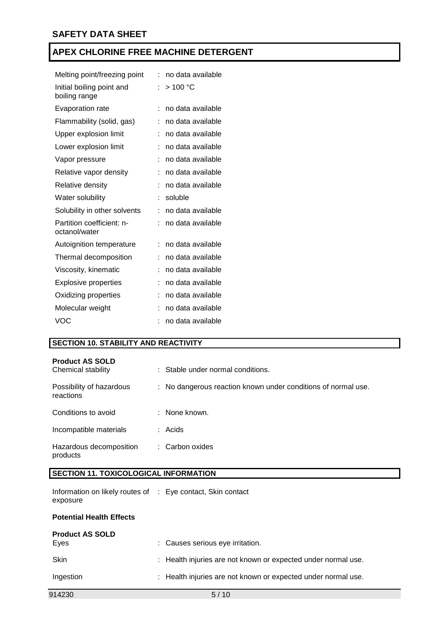| Melting point/freezing point               | ۰ | no data available |
|--------------------------------------------|---|-------------------|
| Initial boiling point and<br>boiling range | ۰ | >100 °C           |
| <b>Evaporation rate</b>                    | t | no data available |
| Flammability (solid, gas)                  |   | no data available |
| Upper explosion limit                      |   | no data available |
| Lower explosion limit                      | t | no data available |
| Vapor pressure                             |   | no data available |
| Relative vapor density                     |   | no data available |
| Relative density                           |   | no data available |
| Water solubility                           |   | soluble           |
| Solubility in other solvents               |   | no data available |
| Partition coefficient: n-<br>octanol/water |   | no data available |
| Autoignition temperature                   |   | no data available |
| Thermal decomposition                      |   | no data available |
| Viscosity, kinematic                       |   | no data available |
| Explosive properties                       |   | no data available |
| Oxidizing properties                       |   | no data available |
| Molecular weight                           |   | no data available |
| <b>VOC</b>                                 |   | no data available |

## **SECTION 10. STABILITY AND REACTIVITY**

| <b>Product AS SOLD</b><br>Chemical stability |    | : Stable under normal conditions.                           |
|----------------------------------------------|----|-------------------------------------------------------------|
| Possibility of hazardous<br>reactions        | ÷. | No dangerous reaction known under conditions of normal use. |
| Conditions to avoid                          |    | None known.                                                 |
| Incompatible materials                       |    | : Acids                                                     |
| Hazardous decomposition<br>products          |    | : Carbon oxides                                             |

## **SECTION 11. TOXICOLOGICAL INFORMATION**

| Information on likely routes of : Eye contact, Skin contact |  |  |
|-------------------------------------------------------------|--|--|
| exposure                                                    |  |  |

## **Potential Health Effects**

| 914230                         | 5/10                                                          |
|--------------------------------|---------------------------------------------------------------|
| Ingestion                      | : Health injuries are not known or expected under normal use. |
| <b>Skin</b>                    | : Health injuries are not known or expected under normal use. |
| <b>Product AS SOLD</b><br>Eves | : Causes serious eye irritation.                              |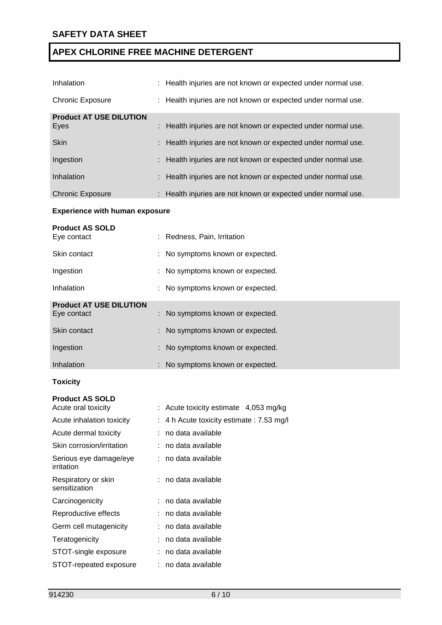| Inhalation                     | : Health injuries are not known or expected under normal use. |
|--------------------------------|---------------------------------------------------------------|
| <b>Chronic Exposure</b>        | : Health injuries are not known or expected under normal use. |
| <b>Product AT USE DILUTION</b> |                                                               |
| Eyes                           | : Health injuries are not known or expected under normal use. |
| <b>Skin</b>                    | : Health injuries are not known or expected under normal use. |
| Ingestion                      | : Health injuries are not known or expected under normal use. |
| Inhalation                     | : Health injuries are not known or expected under normal use. |
| <b>Chronic Exposure</b>        | : Health injuries are not known or expected under normal use. |

## **Experience with human exposure**

| <b>Product AS SOLD</b><br>Eye contact | : Redness, Pain, Irritation      |
|---------------------------------------|----------------------------------|
| Skin contact                          | : No symptoms known or expected. |
| Ingestion                             | : No symptoms known or expected. |
| Inhalation                            | : No symptoms known or expected. |
| <b>Product AT USE DILUTION</b>        |                                  |
| Eye contact                           | : No symptoms known or expected. |
| Skin contact                          | : No symptoms known or expected. |
| Ingestion                             | : No symptoms known or expected. |
| Inhalation                            | : No symptoms known or expected. |
| <b>Toxicity</b>                       |                                  |

## **Product AS SOLD**

| Acute oral toxicity                  | : Acute toxicity estimate : $4,053$ mg/kg |
|--------------------------------------|-------------------------------------------|
| Acute inhalation toxicity            | : 4 h Acute toxicity estimate : 7.53 mg/l |
| Acute dermal toxicity                | : no data available                       |
| Skin corrosion/irritation            | : no data available                       |
| Serious eye damage/eye<br>irritation | : no data available                       |
| Respiratory or skin<br>sensitization | : no data available                       |
| Carcinogenicity                      | : no data available                       |
| Reproductive effects                 | : no data available                       |
| Germ cell mutagenicity               | : no data available                       |
| Teratogenicity                       | no data available                         |
| STOT-single exposure                 | : no data available                       |
| STOT-repeated exposure               | : no data available                       |
|                                      |                                           |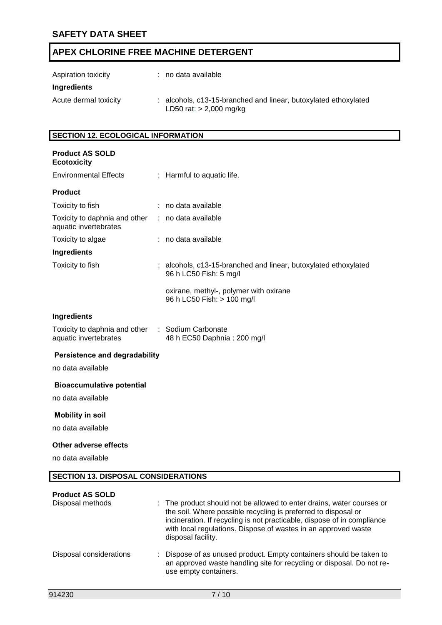| Aspiration toxicity   | : no data available                                                                          |
|-----------------------|----------------------------------------------------------------------------------------------|
| Ingredients           |                                                                                              |
| Acute dermal toxicity | : alcohols, c13-15-branched and linear, butoxylated ethoxylated<br>LD50 rat: $> 2,000$ mg/kg |

## **SECTION 12. ECOLOGICAL INFORMATION**

| <b>Product AS SOLD</b><br><b>Ecotoxicity</b>           |                                                                                                                                                                                                                    |
|--------------------------------------------------------|--------------------------------------------------------------------------------------------------------------------------------------------------------------------------------------------------------------------|
| <b>Environmental Effects</b>                           | : Harmful to aquatic life.                                                                                                                                                                                         |
| <b>Product</b>                                         |                                                                                                                                                                                                                    |
| Toxicity to fish                                       | : no data available                                                                                                                                                                                                |
| Toxicity to daphnia and other<br>aquatic invertebrates | : no data available                                                                                                                                                                                                |
| Toxicity to algae                                      | : no data available                                                                                                                                                                                                |
| Ingredients                                            |                                                                                                                                                                                                                    |
| Toxicity to fish                                       | : alcohols, c13-15-branched and linear, butoxylated ethoxylated<br>96 h LC50 Fish: 5 mg/l                                                                                                                          |
|                                                        | oxirane, methyl-, polymer with oxirane<br>96 h LC50 Fish: > 100 mg/l                                                                                                                                               |
| <b>Ingredients</b>                                     |                                                                                                                                                                                                                    |
| Toxicity to daphnia and other<br>aquatic invertebrates | : Sodium Carbonate<br>48 h EC50 Daphnia: 200 mg/l                                                                                                                                                                  |
| <b>Persistence and degradability</b>                   |                                                                                                                                                                                                                    |
| no data available                                      |                                                                                                                                                                                                                    |
| <b>Bioaccumulative potential</b>                       |                                                                                                                                                                                                                    |
| no data available                                      |                                                                                                                                                                                                                    |
| <b>Mobility in soil</b>                                |                                                                                                                                                                                                                    |
| no data available                                      |                                                                                                                                                                                                                    |
| <b>Other adverse effects</b>                           |                                                                                                                                                                                                                    |
| no data available                                      |                                                                                                                                                                                                                    |
| <b>SECTION 13. DISPOSAL CONSIDERATIONS</b>             |                                                                                                                                                                                                                    |
| <b>Product AS SOLD</b><br>Disposal methods             | : The product should not be allowed to enter drains, water courses or<br>the soil. Where possible recycling is preferred to disposal or<br>incineration. If recycling is not practicable, dispose of in compliance |

Disposal considerations : Dispose of as unused product. Empty containers should be taken to an approved waste handling site for recycling or disposal. Do not reuse empty containers.

disposal facility.

with local regulations. Dispose of wastes in an approved waste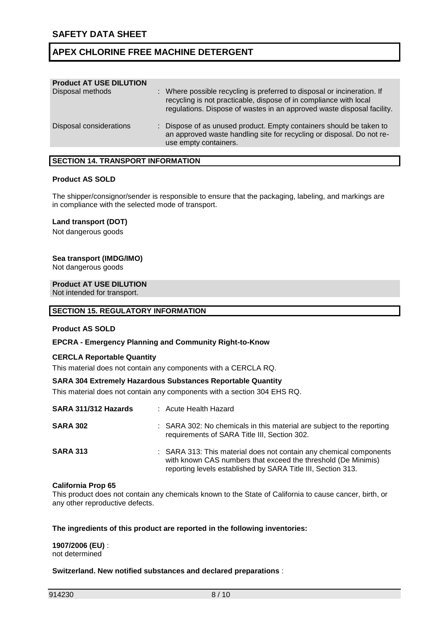| : Where possible recycling is preferred to disposal or incineration. If<br>recycling is not practicable, dispose of in compliance with local<br>regulations. Dispose of wastes in an approved waste disposal facility. |
|------------------------------------------------------------------------------------------------------------------------------------------------------------------------------------------------------------------------|
| : Dispose of as unused product. Empty containers should be taken to<br>an approved waste handling site for recycling or disposal. Do not re-<br>use empty containers.                                                  |
|                                                                                                                                                                                                                        |

## **SECTION 14. TRANSPORT INFORMATION**

### **Product AS SOLD**

The shipper/consignor/sender is responsible to ensure that the packaging, labeling, and markings are in compliance with the selected mode of transport.

### **Land transport (DOT)**

Not dangerous goods

### **Sea transport (IMDG/IMO)**

Not dangerous goods

#### **Product AT USE DILUTION**

Not intended for transport.

#### **SECTION 15. REGULATORY INFORMATION**

### **Product AS SOLD**

### **EPCRA - Emergency Planning and Community Right-to-Know**

### **CERCLA Reportable Quantity**

This material does not contain any components with a CERCLA RQ.

### **SARA 304 Extremely Hazardous Substances Reportable Quantity**

This material does not contain any components with a section 304 EHS RQ.

| SARA 311/312 Hazards | : Acute Health Hazard                                                                                                                                                                               |
|----------------------|-----------------------------------------------------------------------------------------------------------------------------------------------------------------------------------------------------|
| <b>SARA 302</b>      | : SARA 302: No chemicals in this material are subject to the reporting<br>requirements of SARA Title III, Section 302.                                                                              |
| <b>SARA 313</b>      | : SARA 313: This material does not contain any chemical components<br>with known CAS numbers that exceed the threshold (De Minimis)<br>reporting levels established by SARA Title III, Section 313. |

#### **California Prop 65**

This product does not contain any chemicals known to the State of California to cause cancer, birth, or any other reproductive defects.

### **The ingredients of this product are reported in the following inventories:**

**1907/2006 (EU)** : not determined

### **Switzerland. New notified substances and declared preparations** :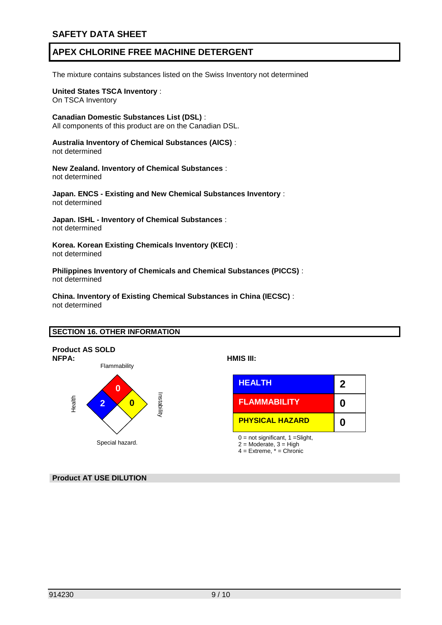The mixture contains substances listed on the Swiss Inventory not determined

### **United States TSCA Inventory** : On TSCA Inventory

**Canadian Domestic Substances List (DSL)** :

All components of this product are on the Canadian DSL.

**Australia Inventory of Chemical Substances (AICS)** : not determined

**New Zealand. Inventory of Chemical Substances** : not determined

**Japan. ENCS - Existing and New Chemical Substances Inventory** : not determined

**Japan. ISHL - Inventory of Chemical Substances** : not determined

**Korea. Korean Existing Chemicals Inventory (KECI)** : not determined

**Philippines Inventory of Chemicals and Chemical Substances (PICCS)** : not determined

**China. Inventory of Existing Chemical Substances in China (IECSC)** : not determined

## **SECTION 16. OTHER INFORMATION**



**Product AT USE DILUTION**